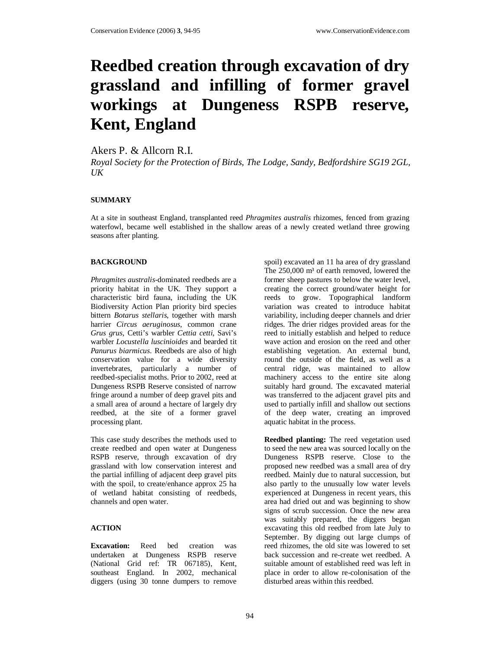# **Reedbed creation through excavation of dry grassland and infilling of former gravel workings at Dungeness RSPB reserve, Kent, England**

Akers P. & Allcorn R.I.

*Royal Society for the Protection of Birds, The Lodge, Sandy, Bedfordshire SG19 2GL, UK* 

## **SUMMARY**

At a site in southeast England, transplanted reed *Phragmites australis* rhizomes*,* fenced from grazing waterfowl, became well established in the shallow areas of a newly created wetland three growing seasons after planting.

### **BACKGROUND**

*Phragmites australis*-dominated reedbeds are a priority habitat in the UK. They support a characteristic bird fauna, including the UK Biodiversity Action Plan priority bird species bittern *Botarus stellaris*, together with marsh harrier *Circus aeruginosus*, common crane *Grus grus*, Cetti's warbler *Cettia cetti*, Savi's warbler *Locustella luscinioides* and bearded tit *Panurus biarmicus*. Reedbeds are also of high conservation value for a wide diversity invertebrates, particularly a number of reedbed-specialist moths. Prior to 2002, reed at Dungeness RSPB Reserve consisted of narrow fringe around a number of deep gravel pits and a small area of around a hectare of largely dry reedbed, at the site of a former gravel processing plant.

This case study describes the methods used to create reedbed and open water at Dungeness RSPB reserve, through excavation of dry grassland with low conservation interest and the partial infilling of adjacent deep gravel pits with the spoil, to create/enhance approx 25 ha of wetland habitat consisting of reedbeds, channels and open water.

# **ACTION**

**Excavation:** Reed bed creation was undertaken at Dungeness RSPB reserve (National Grid ref: TR 067185), Kent, southeast England. In 2002, mechanical diggers (using 30 tonne dumpers to remove spoil) excavated an 11 ha area of dry grassland The 250,000 m<sup>3</sup> of earth removed, lowered the former sheep pastures to below the water level, creating the correct ground/water height for reeds to grow. Topographical landform variation was created to introduce habitat variability, including deeper channels and drier ridges. The drier ridges provided areas for the reed to initially establish and helped to reduce wave action and erosion on the reed and other establishing vegetation. An external bund, round the outside of the field, as well as a central ridge, was maintained to allow machinery access to the entire site along suitably hard ground. The excavated material was transferred to the adjacent gravel pits and used to partially infill and shallow out sections of the deep water, creating an improved aquatic habitat in the process.

**Reedbed planting:** The reed vegetation used to seed the new area was sourced locally on the Dungeness RSPB reserve. Close to the proposed new reedbed was a small area of dry reedbed. Mainly due to natural succession, but also partly to the unusually low water levels experienced at Dungeness in recent years, this area had dried out and was beginning to show signs of scrub succession. Once the new area was suitably prepared, the diggers began excavating this old reedbed from late July to September. By digging out large clumps of reed rhizomes, the old site was lowered to set back succession and re-create wet reedbed. A suitable amount of established reed was left in place in order to allow re-colonisation of the disturbed areas within this reedbed.